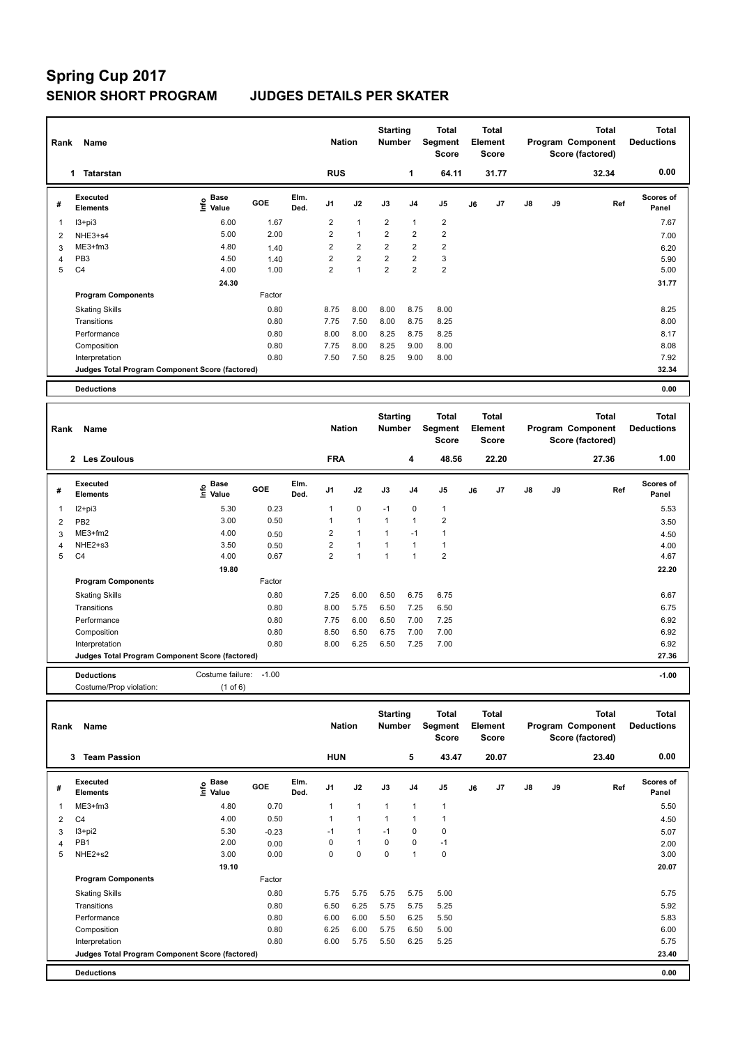# **Spring Cup 2017 SENIOR SHORT PROGRAM JUDGES DETAILS PER SKATER**

| Rank           | Name                                            |                                  |            |              | <b>Nation</b>  |                | <b>Starting</b><br><b>Number</b> |                | Total<br>Segment<br><b>Score</b> |    | <b>Total</b><br>Element<br><b>Score</b> | <b>Total</b><br>Program Component<br>Score (factored) |    | Total<br><b>Deductions</b> |                           |
|----------------|-------------------------------------------------|----------------------------------|------------|--------------|----------------|----------------|----------------------------------|----------------|----------------------------------|----|-----------------------------------------|-------------------------------------------------------|----|----------------------------|---------------------------|
|                | <b>Tatarstan</b><br>1.                          |                                  |            |              | <b>RUS</b>     |                |                                  | 1              | 64.11                            |    | 31.77                                   |                                                       |    | 32.34                      | 0.00                      |
| #              | Executed<br><b>Elements</b>                     | <b>Base</b><br>e Base<br>⊆ Value | <b>GOE</b> | Elm.<br>Ded. | J <sub>1</sub> | J2             | J3                               | J <sub>4</sub> | J <sub>5</sub>                   | J6 | J <sub>7</sub>                          | $\mathsf{J}8$                                         | J9 | Ref                        | <b>Scores of</b><br>Panel |
| 1              | I3+pi3                                          | 6.00                             | 1.67       |              | $\overline{2}$ | $\overline{1}$ | $\overline{2}$                   | $\overline{1}$ | $\overline{2}$                   |    |                                         |                                                       |    |                            | 7.67                      |
| $\overline{2}$ | NHE3+s4                                         | 5.00                             | 2.00       |              | $\overline{2}$ | $\overline{1}$ | $\overline{2}$                   | $\overline{2}$ | $\overline{2}$                   |    |                                         |                                                       |    |                            | 7.00                      |
| 3              | ME3+fm3                                         | 4.80                             | 1.40       |              | $\overline{2}$ | $\overline{2}$ | $\overline{2}$                   | $\overline{2}$ | $\overline{2}$                   |    |                                         |                                                       |    |                            | 6.20                      |
| $\overline{4}$ | PB <sub>3</sub>                                 | 4.50                             | 1.40       |              | $\overline{2}$ | $\overline{2}$ | $\overline{2}$                   | $\overline{2}$ | 3                                |    |                                         |                                                       |    |                            | 5.90                      |
| 5              | C <sub>4</sub>                                  | 4.00                             | 1.00       |              | $\overline{2}$ | 1              | $\overline{2}$                   | $\overline{2}$ | $\overline{2}$                   |    |                                         |                                                       |    |                            | 5.00                      |
|                |                                                 | 24.30                            |            |              |                |                |                                  |                |                                  |    |                                         |                                                       |    |                            | 31.77                     |
|                | <b>Program Components</b>                       |                                  | Factor     |              |                |                |                                  |                |                                  |    |                                         |                                                       |    |                            |                           |
|                | <b>Skating Skills</b>                           |                                  | 0.80       |              | 8.75           | 8.00           | 8.00                             | 8.75           | 8.00                             |    |                                         |                                                       |    |                            | 8.25                      |
|                | Transitions                                     |                                  | 0.80       |              | 7.75           | 7.50           | 8.00                             | 8.75           | 8.25                             |    |                                         |                                                       |    |                            | 8.00                      |
|                | Performance                                     |                                  | 0.80       |              | 8.00           | 8.00           | 8.25                             | 8.75           | 8.25                             |    |                                         |                                                       |    |                            | 8.17                      |
|                | Composition                                     |                                  | 0.80       |              | 7.75           | 8.00           | 8.25                             | 9.00           | 8.00                             |    |                                         |                                                       |    |                            | 8.08                      |
|                | Interpretation                                  |                                  | 0.80       |              | 7.50           | 7.50           | 8.25                             | 9.00           | 8.00                             |    |                                         |                                                       |    |                            | 7.92                      |
|                | Judges Total Program Component Score (factored) |                                  |            |              |                |                |                                  |                |                                  |    |                                         |                                                       |    |                            | 32.34                     |
|                | <b>Deductions</b>                               |                                  |            |              |                |                |                                  |                |                                  |    |                                         |                                                       |    |                            | 0.00                      |

| Rank | Name                                            |                       |         |              | <b>Nation</b>  |                | <b>Starting</b><br><b>Number</b> |                | <b>Total</b><br>Segment<br>Score |    | <b>Total</b><br>Element<br><b>Score</b> |               |    | <b>Total</b><br>Program Component<br>Score (factored) | <b>Total</b><br><b>Deductions</b> |
|------|-------------------------------------------------|-----------------------|---------|--------------|----------------|----------------|----------------------------------|----------------|----------------------------------|----|-----------------------------------------|---------------|----|-------------------------------------------------------|-----------------------------------|
|      | 2 Les Zoulous                                   |                       |         |              | <b>FRA</b>     |                |                                  | 4              | 48.56                            |    | 22.20                                   |               |    | 27.36                                                 | 1.00                              |
| #    | Executed<br><b>Elements</b>                     | $\sum_{i=1}^{n}$ Base | GOE     | Elm.<br>Ded. | J <sub>1</sub> | J2             | J3                               | J <sub>4</sub> | J <sub>5</sub>                   | J6 | J7                                      | $\mathsf{J}8$ | J9 | Ref                                                   | <b>Scores of</b><br>Panel         |
| 1    | $12+pi3$                                        | 5.30                  | 0.23    |              | 1              | $\mathbf 0$    | $-1$                             | $\mathbf 0$    | $\overline{1}$                   |    |                                         |               |    |                                                       | 5.53                              |
| 2    | PB <sub>2</sub>                                 | 3.00                  | 0.50    |              | $\mathbf{1}$   | $\overline{1}$ | 1                                | $\overline{1}$ | $\overline{2}$                   |    |                                         |               |    |                                                       | 3.50                              |
| 3    | $ME3+fm2$                                       | 4.00                  | 0.50    |              | 2              | $\overline{1}$ | 1                                | $-1$           |                                  |    |                                         |               |    |                                                       | 4.50                              |
| 4    | NHE2+s3                                         | 3.50                  | 0.50    |              | $\overline{2}$ | $\overline{1}$ | $\overline{1}$                   | $\overline{1}$ | 1                                |    |                                         |               |    |                                                       | 4.00                              |
| 5    | C <sub>4</sub>                                  | 4.00                  | 0.67    |              | $\overline{2}$ | $\overline{ }$ | $\overline{1}$                   | $\overline{1}$ | $\overline{2}$                   |    |                                         |               |    |                                                       | 4.67                              |
|      |                                                 | 19.80                 |         |              |                |                |                                  |                |                                  |    |                                         |               |    |                                                       | 22.20                             |
|      | <b>Program Components</b>                       |                       | Factor  |              |                |                |                                  |                |                                  |    |                                         |               |    |                                                       |                                   |
|      | <b>Skating Skills</b>                           |                       | 0.80    |              | 7.25           | 6.00           | 6.50                             | 6.75           | 6.75                             |    |                                         |               |    |                                                       | 6.67                              |
|      | Transitions                                     |                       | 0.80    |              | 8.00           | 5.75           | 6.50                             | 7.25           | 6.50                             |    |                                         |               |    |                                                       | 6.75                              |
|      | Performance                                     |                       | 0.80    |              | 7.75           | 6.00           | 6.50                             | 7.00           | 7.25                             |    |                                         |               |    |                                                       | 6.92                              |
|      | Composition                                     |                       | 0.80    |              | 8.50           | 6.50           | 6.75                             | 7.00           | 7.00                             |    |                                         |               |    |                                                       | 6.92                              |
|      | Interpretation                                  |                       | 0.80    |              | 8.00           | 6.25           | 6.50                             | 7.25           | 7.00                             |    |                                         |               |    |                                                       | 6.92                              |
|      | Judges Total Program Component Score (factored) |                       |         |              |                |                |                                  |                |                                  |    |                                         |               |    |                                                       | 27.36                             |
|      | <b>Deductions</b>                               | Costume failure:      | $-1.00$ |              |                |                |                                  |                |                                  |    |                                         |               |    |                                                       | $-1.00$                           |

Costume/Prop violation: (1 of 6)

| Rank | Name                                            |                    |            |              | <b>Nation</b>  |              | <b>Starting</b><br><b>Number</b> |                | Total<br>Segment<br><b>Score</b> |    | Total<br>Element<br><b>Score</b> |               |    | <b>Total</b><br>Program Component<br>Score (factored) | <b>Total</b><br><b>Deductions</b> |
|------|-------------------------------------------------|--------------------|------------|--------------|----------------|--------------|----------------------------------|----------------|----------------------------------|----|----------------------------------|---------------|----|-------------------------------------------------------|-----------------------------------|
|      | 3<br><b>Team Passion</b>                        |                    |            |              | <b>HUN</b>     |              |                                  | 5              | 43.47                            |    | 20.07                            |               |    | 23.40                                                 | 0.00                              |
| #    | Executed<br><b>Elements</b>                     | $\frac{e}{E}$ Base | <b>GOE</b> | Elm.<br>Ded. | J <sub>1</sub> | J2           | J3                               | J <sub>4</sub> | J <sub>5</sub>                   | J6 | J <sub>7</sub>                   | $\mathsf{J}8$ | J9 | Ref                                                   | <b>Scores of</b><br>Panel         |
| 1    | $ME3+fm3$                                       | 4.80               | 0.70       |              | 1              | 1            | $\mathbf{1}$                     | $\mathbf{1}$   | $\overline{1}$                   |    |                                  |               |    |                                                       | 5.50                              |
| 2    | C <sub>4</sub>                                  | 4.00               | 0.50       |              | $\overline{A}$ | 1            | 1                                | 1              | 1                                |    |                                  |               |    |                                                       | 4.50                              |
| 3    | $13 + pi2$                                      | 5.30               | $-0.23$    |              | $-1$           | $\mathbf{1}$ | $-1$                             | 0              | 0                                |    |                                  |               |    |                                                       | 5.07                              |
| 4    | PB1                                             | 2.00               | 0.00       |              | 0              | $\mathbf{1}$ | 0                                | 0              | $-1$                             |    |                                  |               |    |                                                       | 2.00                              |
| 5    | NHE2+s2                                         | 3.00               | 0.00       |              | 0              | 0            | 0                                | 1              | 0                                |    |                                  |               |    |                                                       | 3.00                              |
|      |                                                 | 19.10              |            |              |                |              |                                  |                |                                  |    |                                  |               |    |                                                       | 20.07                             |
|      | <b>Program Components</b>                       |                    | Factor     |              |                |              |                                  |                |                                  |    |                                  |               |    |                                                       |                                   |
|      | <b>Skating Skills</b>                           |                    | 0.80       |              | 5.75           | 5.75         | 5.75                             | 5.75           | 5.00                             |    |                                  |               |    |                                                       | 5.75                              |
|      | Transitions                                     |                    | 0.80       |              | 6.50           | 6.25         | 5.75                             | 5.75           | 5.25                             |    |                                  |               |    |                                                       | 5.92                              |
|      | Performance                                     |                    | 0.80       |              | 6.00           | 6.00         | 5.50                             | 6.25           | 5.50                             |    |                                  |               |    |                                                       | 5.83                              |
|      | Composition                                     |                    | 0.80       |              | 6.25           | 6.00         | 5.75                             | 6.50           | 5.00                             |    |                                  |               |    |                                                       | 6.00                              |
|      | Interpretation                                  |                    | 0.80       |              | 6.00           | 5.75         | 5.50                             | 6.25           | 5.25                             |    |                                  |               |    |                                                       | 5.75                              |
|      | Judges Total Program Component Score (factored) |                    |            |              |                |              |                                  |                |                                  |    |                                  |               |    |                                                       | 23.40                             |
|      | <b>Deductions</b>                               |                    |            |              |                |              |                                  |                |                                  |    |                                  |               |    |                                                       | 0.00                              |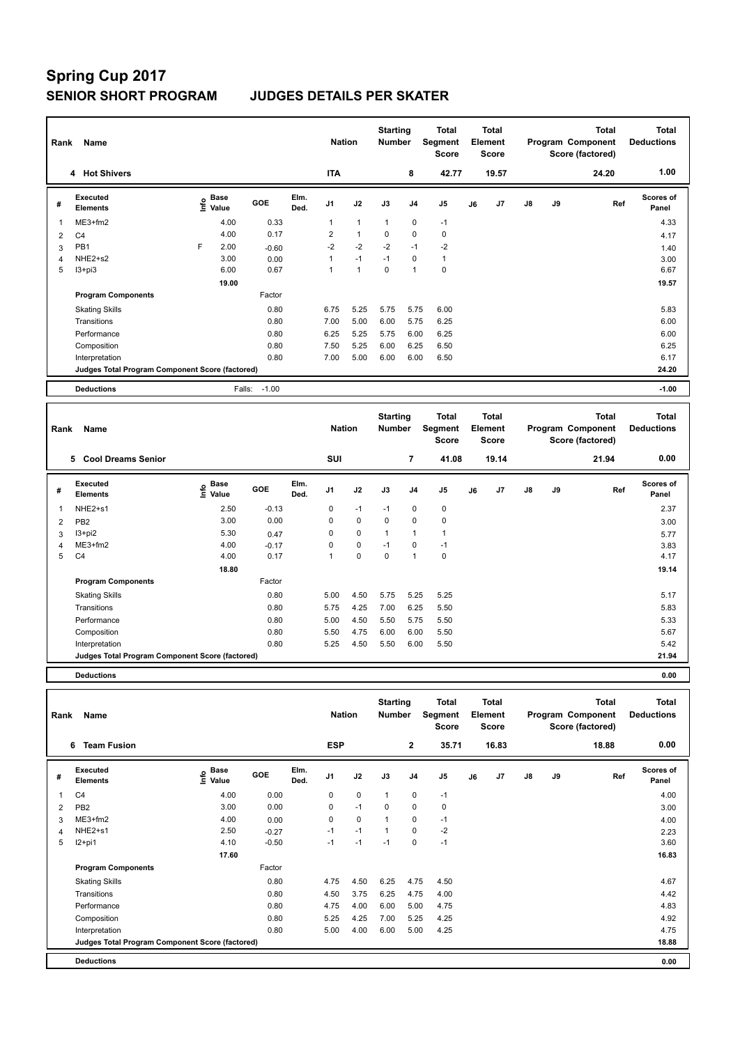# **Spring Cup 2017 SENIOR SHORT PROGRAM JUDGES DETAILS PER SKATER**

| Rank           | Name                                            |      |                      |         |              | <b>Nation</b>  |                | <b>Starting</b><br><b>Number</b> |                | Total<br>Segment<br><b>Score</b> |    | <b>Total</b><br>Element<br><b>Score</b> |               |    | <b>Total</b><br>Program Component<br>Score (factored) | <b>Total</b><br><b>Deductions</b> |
|----------------|-------------------------------------------------|------|----------------------|---------|--------------|----------------|----------------|----------------------------------|----------------|----------------------------------|----|-----------------------------------------|---------------|----|-------------------------------------------------------|-----------------------------------|
|                | 4 Hot Shivers                                   |      |                      |         |              | <b>ITA</b>     |                |                                  | 8              | 42.77                            |    | 19.57                                   |               |    | 24.20                                                 | 1.00                              |
| #              | Executed<br><b>Elements</b>                     | ١nf٥ | <b>Base</b><br>Value | GOE     | Elm.<br>Ded. | J <sub>1</sub> | J2             | J3                               | J <sub>4</sub> | J <sub>5</sub>                   | J6 | J7                                      | $\mathsf{J}8$ | J9 | Ref                                                   | Scores of<br>Panel                |
| -1             | ME3+fm2                                         |      | 4.00                 | 0.33    |              | 1              | $\overline{1}$ | $\overline{1}$                   | $\mathbf 0$    | $-1$                             |    |                                         |               |    |                                                       | 4.33                              |
| $\overline{2}$ | C <sub>4</sub>                                  |      | 4.00                 | 0.17    |              | $\overline{2}$ | $\overline{1}$ | $\Omega$                         | $\mathbf 0$    | 0                                |    |                                         |               |    |                                                       | 4.17                              |
| 3              | PB1                                             | E    | 2.00                 | $-0.60$ |              | $-2$           | $-2$           | $-2$                             | $-1$           | $-2$                             |    |                                         |               |    |                                                       | 1.40                              |
| 4              | NHE2+s2                                         |      | 3.00                 | 0.00    |              | 1              | $-1$           | $-1$                             | 0              | $\mathbf{1}$                     |    |                                         |               |    |                                                       | 3.00                              |
| 5              | $13 + pi3$                                      |      | 6.00                 | 0.67    |              | 1              | 1              | 0                                | $\overline{1}$ | $\pmb{0}$                        |    |                                         |               |    |                                                       | 6.67                              |
|                |                                                 |      | 19.00                |         |              |                |                |                                  |                |                                  |    |                                         |               |    |                                                       | 19.57                             |
|                | <b>Program Components</b>                       |      |                      | Factor  |              |                |                |                                  |                |                                  |    |                                         |               |    |                                                       |                                   |
|                | <b>Skating Skills</b>                           |      |                      | 0.80    |              | 6.75           | 5.25           | 5.75                             | 5.75           | 6.00                             |    |                                         |               |    |                                                       | 5.83                              |
|                | Transitions                                     |      |                      | 0.80    |              | 7.00           | 5.00           | 6.00                             | 5.75           | 6.25                             |    |                                         |               |    |                                                       | 6.00                              |
|                | Performance                                     |      |                      | 0.80    |              | 6.25           | 5.25           | 5.75                             | 6.00           | 6.25                             |    |                                         |               |    |                                                       | 6.00                              |
|                | Composition                                     |      |                      | 0.80    |              | 7.50           | 5.25           | 6.00                             | 6.25           | 6.50                             |    |                                         |               |    |                                                       | 6.25                              |
|                | Interpretation                                  |      |                      | 0.80    |              | 7.00           | 5.00           | 6.00                             | 6.00           | 6.50                             |    |                                         |               |    |                                                       | 6.17                              |
|                | Judges Total Program Component Score (factored) |      |                      |         |              |                |                |                                  |                |                                  |    |                                         |               |    |                                                       | 24.20                             |
|                | <b>Deductions</b>                               |      | Falls:               | $-1.00$ |              |                |                |                                  |                |                                  |    |                                         |               |    |                                                       | $-1.00$                           |

| Rank           | Name                                            |                             |            |              | <b>Nation</b>  |             | <b>Starting</b><br><b>Number</b> |                | Total<br>Segment<br><b>Score</b> |    | Total<br>Element<br><b>Score</b> |               |    | <b>Total</b><br>Program Component<br>Score (factored) | <b>Total</b><br><b>Deductions</b> |
|----------------|-------------------------------------------------|-----------------------------|------------|--------------|----------------|-------------|----------------------------------|----------------|----------------------------------|----|----------------------------------|---------------|----|-------------------------------------------------------|-----------------------------------|
|                | 5<br><b>Cool Dreams Senior</b>                  |                             |            |              | SUI            |             |                                  | 7              | 41.08                            |    | 19.14                            |               |    | 21.94                                                 | 0.00                              |
| #              | Executed<br><b>Elements</b>                     | $\sum_{k=1}^{\infty}$ Value | <b>GOE</b> | Elm.<br>Ded. | J <sub>1</sub> | J2          | J3                               | J <sub>4</sub> | J <sub>5</sub>                   | J6 | J <sub>7</sub>                   | $\mathsf{J}8$ | J9 | Ref                                                   | <b>Scores of</b><br>Panel         |
| 1              | NHE2+s1                                         | 2.50                        | $-0.13$    |              | 0              | $-1$        | $-1$                             | $\mathbf 0$    | $\mathbf 0$                      |    |                                  |               |    |                                                       | 2.37                              |
| $\overline{2}$ | PB <sub>2</sub>                                 | 3.00                        | 0.00       |              | 0              | $\mathbf 0$ | 0                                | 0              | 0                                |    |                                  |               |    |                                                       | 3.00                              |
| 3              | $13 + pi2$                                      | 5.30                        | 0.47       |              | 0              | $\mathbf 0$ | $\mathbf{1}$                     | 1              | $\mathbf{1}$                     |    |                                  |               |    |                                                       | 5.77                              |
| 4              | $ME3+fm2$                                       | 4.00                        | $-0.17$    |              | 0              | $\mathbf 0$ | $-1$                             | 0              | $-1$                             |    |                                  |               |    |                                                       | 3.83                              |
| 5              | C <sub>4</sub>                                  | 4.00                        | 0.17       |              | 1              | $\mathbf 0$ | 0                                | 1              | $\pmb{0}$                        |    |                                  |               |    |                                                       | 4.17                              |
|                |                                                 | 18.80                       |            |              |                |             |                                  |                |                                  |    |                                  |               |    |                                                       | 19.14                             |
|                | <b>Program Components</b>                       |                             | Factor     |              |                |             |                                  |                |                                  |    |                                  |               |    |                                                       |                                   |
|                | <b>Skating Skills</b>                           |                             | 0.80       |              | 5.00           | 4.50        | 5.75                             | 5.25           | 5.25                             |    |                                  |               |    |                                                       | 5.17                              |
|                | Transitions                                     |                             | 0.80       |              | 5.75           | 4.25        | 7.00                             | 6.25           | 5.50                             |    |                                  |               |    |                                                       | 5.83                              |
|                | Performance                                     |                             | 0.80       |              | 5.00           | 4.50        | 5.50                             | 5.75           | 5.50                             |    |                                  |               |    |                                                       | 5.33                              |
|                | Composition                                     |                             | 0.80       |              | 5.50           | 4.75        | 6.00                             | 6.00           | 5.50                             |    |                                  |               |    |                                                       | 5.67                              |
|                | Interpretation                                  |                             | 0.80       |              | 5.25           | 4.50        | 5.50                             | 6.00           | 5.50                             |    |                                  |               |    |                                                       | 5.42                              |
|                | Judges Total Program Component Score (factored) |                             |            |              |                |             |                                  |                |                                  |    |                                  |               |    |                                                       | 21.94                             |
|                |                                                 |                             |            |              |                |             |                                  |                |                                  |    |                                  |               |    |                                                       |                                   |

**Deductions 0.00**

| Rank | Name                                            |                              |         |              | <b>Nation</b>  |             | <b>Starting</b><br><b>Number</b> |                | Total<br>Segment<br><b>Score</b> |    | <b>Total</b><br>Element<br><b>Score</b> |               |    | <b>Total</b><br>Program Component<br>Score (factored) | <b>Total</b><br><b>Deductions</b> |
|------|-------------------------------------------------|------------------------------|---------|--------------|----------------|-------------|----------------------------------|----------------|----------------------------------|----|-----------------------------------------|---------------|----|-------------------------------------------------------|-----------------------------------|
|      | <b>Team Fusion</b><br>6                         |                              |         |              | <b>ESP</b>     |             |                                  | $\overline{2}$ | 35.71                            |    | 16.83                                   |               |    | 18.88                                                 | 0.00                              |
| #    | Executed<br><b>Elements</b>                     | <b>Base</b><br>lnfo<br>Value | GOE     | Elm.<br>Ded. | J <sub>1</sub> | J2          | J3                               | J <sub>4</sub> | J <sub>5</sub>                   | J6 | J7                                      | $\mathsf{J}8$ | J9 | Ref                                                   | <b>Scores of</b><br>Panel         |
| 1    | C <sub>4</sub>                                  | 4.00                         | 0.00    |              | 0              | $\pmb{0}$   | $\mathbf{1}$                     | 0              | $-1$                             |    |                                         |               |    |                                                       | 4.00                              |
| 2    | PB <sub>2</sub>                                 | 3.00                         | 0.00    |              | 0              | $-1$        | 0                                | $\mathbf 0$    | 0                                |    |                                         |               |    |                                                       | 3.00                              |
| 3    | ME3+fm2                                         | 4.00                         | 0.00    |              | 0              | $\mathbf 0$ |                                  | 0              | $-1$                             |    |                                         |               |    |                                                       | 4.00                              |
| 4    | NHE2+s1                                         | 2.50                         | $-0.27$ |              | $-1$           | $-1$        | $\mathbf{1}$                     | 0              | $-2$                             |    |                                         |               |    |                                                       | 2.23                              |
| 5    | $12+pi1$                                        | 4.10                         | $-0.50$ |              | $-1$           | $-1$        | $-1$                             | 0              | $-1$                             |    |                                         |               |    |                                                       | 3.60                              |
|      |                                                 | 17.60                        |         |              |                |             |                                  |                |                                  |    |                                         |               |    |                                                       | 16.83                             |
|      | <b>Program Components</b>                       |                              | Factor  |              |                |             |                                  |                |                                  |    |                                         |               |    |                                                       |                                   |
|      | <b>Skating Skills</b>                           |                              | 0.80    |              | 4.75           | 4.50        | 6.25                             | 4.75           | 4.50                             |    |                                         |               |    |                                                       | 4.67                              |
|      | Transitions                                     |                              | 0.80    |              | 4.50           | 3.75        | 6.25                             | 4.75           | 4.00                             |    |                                         |               |    |                                                       | 4.42                              |
|      | Performance                                     |                              | 0.80    |              | 4.75           | 4.00        | 6.00                             | 5.00           | 4.75                             |    |                                         |               |    |                                                       | 4.83                              |
|      | Composition                                     |                              | 0.80    |              | 5.25           | 4.25        | 7.00                             | 5.25           | 4.25                             |    |                                         |               |    |                                                       | 4.92                              |
|      | Interpretation                                  |                              | 0.80    |              | 5.00           | 4.00        | 6.00                             | 5.00           | 4.25                             |    |                                         |               |    |                                                       | 4.75                              |
|      | Judges Total Program Component Score (factored) |                              |         |              |                |             |                                  |                |                                  |    |                                         |               |    |                                                       | 18.88                             |
|      | <b>Deductions</b>                               |                              |         |              |                |             |                                  |                |                                  |    |                                         |               |    |                                                       | 0.00                              |